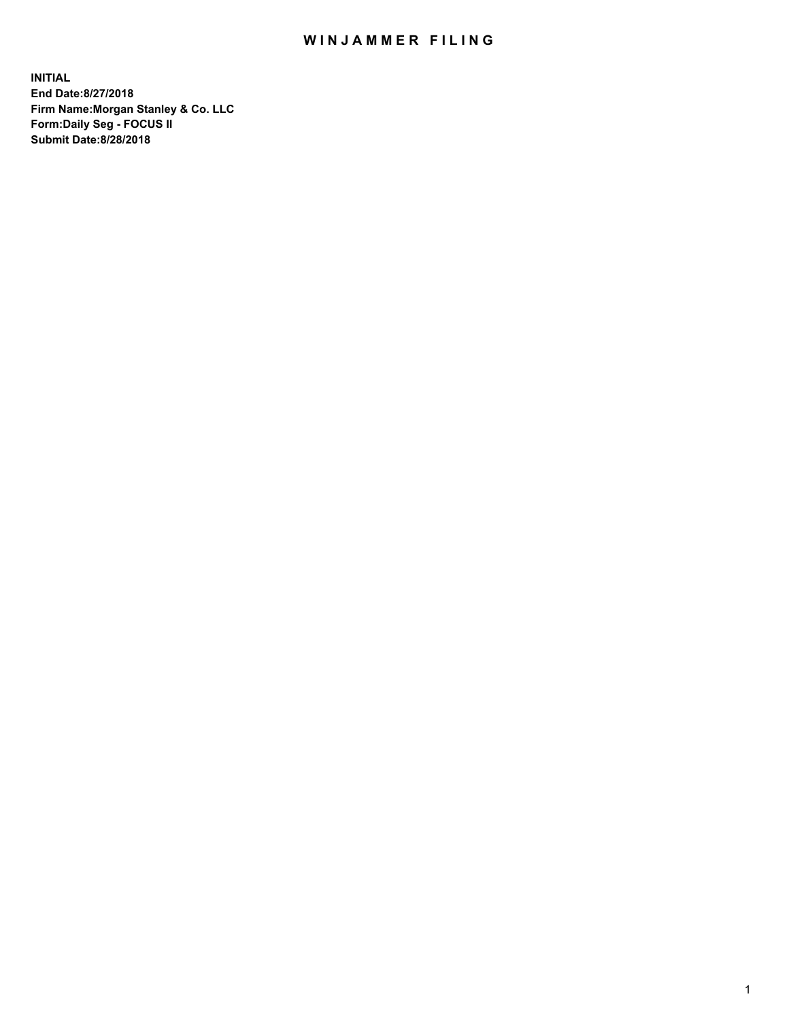## WIN JAMMER FILING

**INITIAL End Date:8/27/2018 Firm Name:Morgan Stanley & Co. LLC Form:Daily Seg - FOCUS II Submit Date:8/28/2018**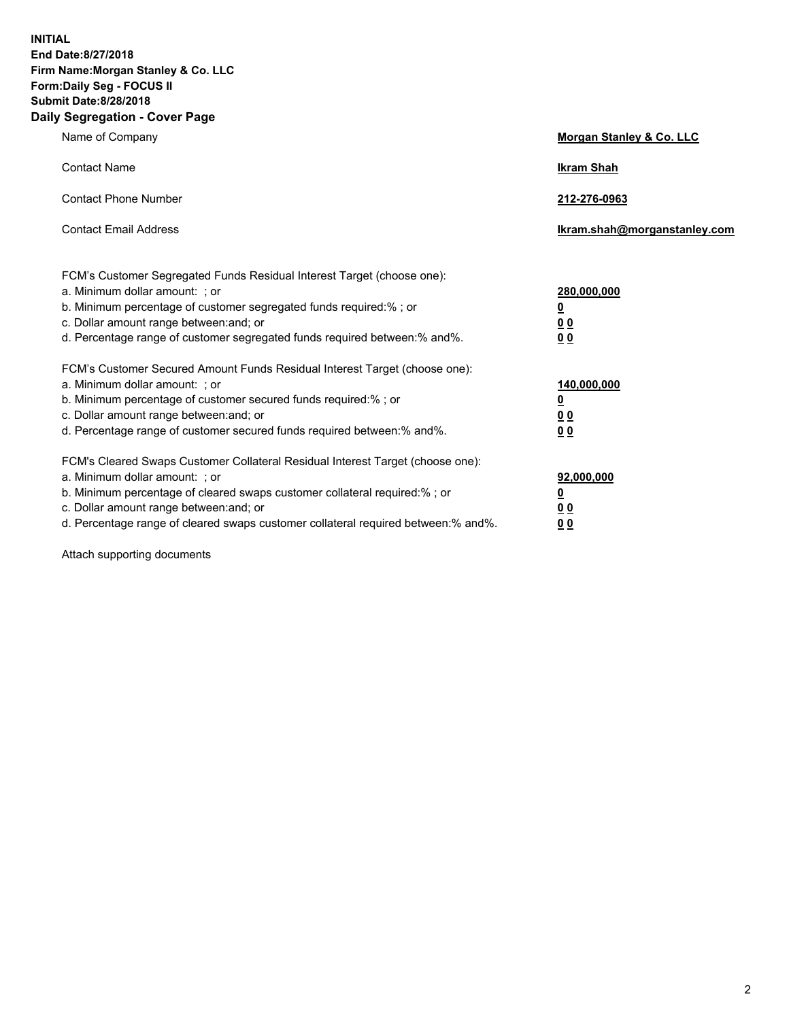**INITIAL End Date:8/27/2018 Firm Name:Morgan Stanley & Co. LLC Form:Daily Seg - FOCUS II Submit Date:8/28/2018 Daily Segregation - Cover Page**

| Name of Company                                                                                                                                                                                                                                                                                                                | Morgan Stanley & Co. LLC                               |
|--------------------------------------------------------------------------------------------------------------------------------------------------------------------------------------------------------------------------------------------------------------------------------------------------------------------------------|--------------------------------------------------------|
| <b>Contact Name</b>                                                                                                                                                                                                                                                                                                            | <b>Ikram Shah</b>                                      |
| <b>Contact Phone Number</b>                                                                                                                                                                                                                                                                                                    | 212-276-0963                                           |
| <b>Contact Email Address</b>                                                                                                                                                                                                                                                                                                   | lkram.shah@morganstanley.com                           |
| FCM's Customer Segregated Funds Residual Interest Target (choose one):<br>a. Minimum dollar amount: ; or<br>b. Minimum percentage of customer segregated funds required:% ; or<br>c. Dollar amount range between: and; or<br>d. Percentage range of customer segregated funds required between:% and%.                         | 280,000,000<br><u>0</u><br><u>0 0</u><br>0 Q           |
| FCM's Customer Secured Amount Funds Residual Interest Target (choose one):<br>a. Minimum dollar amount: ; or<br>b. Minimum percentage of customer secured funds required:%; or<br>c. Dollar amount range between: and; or<br>d. Percentage range of customer secured funds required between:% and%.                            | 140,000,000<br><u>0</u><br><u>00</u><br>0 <sub>0</sub> |
| FCM's Cleared Swaps Customer Collateral Residual Interest Target (choose one):<br>a. Minimum dollar amount: ; or<br>b. Minimum percentage of cleared swaps customer collateral required:% ; or<br>c. Dollar amount range between: and; or<br>d. Percentage range of cleared swaps customer collateral required between:% and%. | 92,000,000<br><u>0</u><br><u>00</u><br>0 <sup>0</sup>  |

Attach supporting documents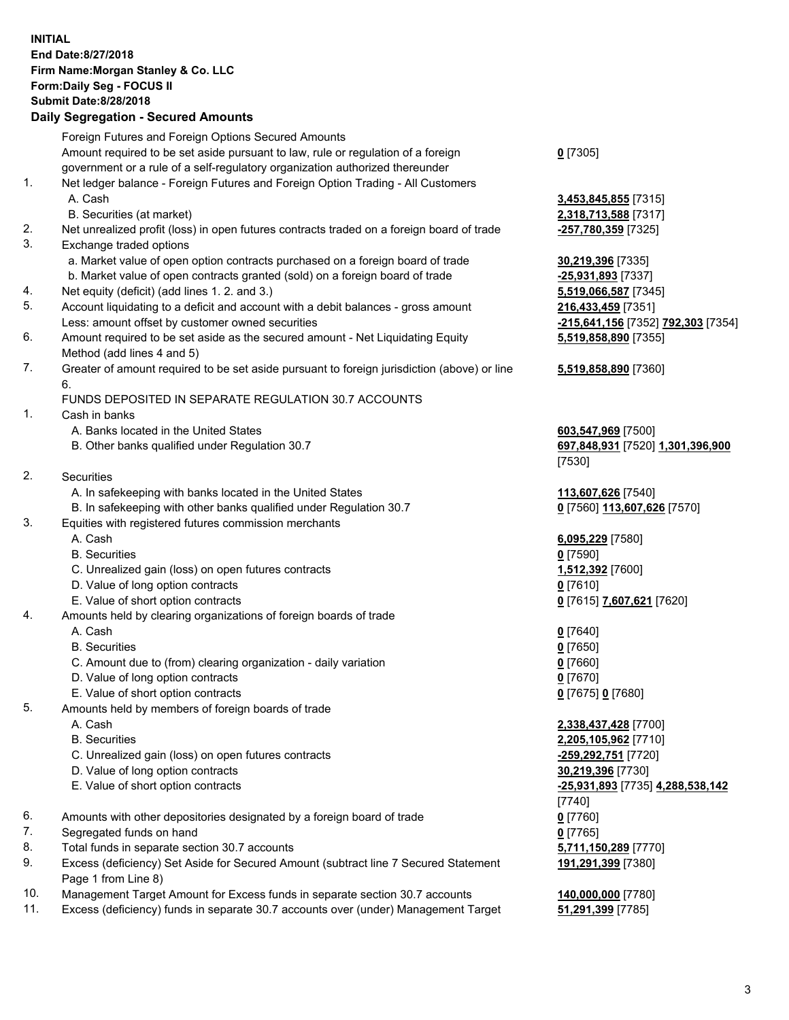## **INITIAL End Date:8/27/2018 Firm Name:Morgan Stanley & Co. LLC Form:Daily Seg - FOCUS II Submit Date:8/28/2018 Daily Segregation - Secured Amounts**

Foreign Futures and Foreign Options Secured Amounts Amount required to be set aside pursuant to law, rule or regulation of a foreign government or a rule of a self-regulatory organization authorized thereunder 1. Net ledger balance - Foreign Futures and Foreign Option Trading - All Customers A. Cash **3,453,845,855** [7315] B. Securities (at market) **2,318,713,588** [7317] 2. Net unrealized profit (loss) in open futures contracts traded on a foreign board of trade **-257,780,359** [7325] 3. Exchange traded options a. Market value of open option contracts purchased on a foreign board of trade **30,219,396** [7335] b. Market value of open contracts granted (sold) on a foreign board of trade **-25,931,893** [7337] 4. Net equity (deficit) (add lines 1. 2. and 3.) **5,519,066,587** [7345] 5. Account liquidating to a deficit and account with a debit balances - gross amount **216,433,459** [7351] Less: amount offset by customer owned securities **-215,641,156** [7352] **792,303** [7354] 6. Amount required to be set aside as the secured amount - Net Liquidating Equity Method (add lines 4 and 5) 7. Greater of amount required to be set aside pursuant to foreign jurisdiction (above) or line 6. FUNDS DEPOSITED IN SEPARATE REGULATION 30.7 ACCOUNTS 1. Cash in banks A. Banks located in the United States **603,547,969** [7500] B. Other banks qualified under Regulation 30.7 **697,848,931** [7520] **1,301,396,900** 2. Securities A. In safekeeping with banks located in the United States **113,607,626** [7540] B. In safekeeping with other banks qualified under Regulation 30.7 **0** [7560] **113,607,626** [7570] 3. Equities with registered futures commission merchants A. Cash **6,095,229** [7580] B. Securities **0** [7590] C. Unrealized gain (loss) on open futures contracts **1,512,392** [7600] D. Value of long option contracts **0** [7610] E. Value of short option contracts **0** [7615] **7,607,621** [7620] 4. Amounts held by clearing organizations of foreign boards of trade A. Cash **0** [7640] B. Securities **0** [7650] C. Amount due to (from) clearing organization - daily variation **0** [7660] D. Value of long option contracts **0** [7670] E. Value of short option contracts **0** [7675] **0** [7680] 5. Amounts held by members of foreign boards of trade A. Cash **2,338,437,428** [7700] B. Securities **2,205,105,962** [7710] C. Unrealized gain (loss) on open futures contracts **-259,292,751** [7720] D. Value of long option contracts **30,219,396** [7730] E. Value of short option contracts **-25,931,893** [7735] **4,288,538,142** [7740] 6. Amounts with other depositories designated by a foreign board of trade **0** [7760] 7. Segregated funds on hand **0** [7765] 8. Total funds in separate section 30.7 accounts **5,711,150,289** [7770] 9. Excess (deficiency) Set Aside for Secured Amount (subtract line 7 Secured Statement **191,291,399** [7380]

- Page 1 from Line 8)
- 10. Management Target Amount for Excess funds in separate section 30.7 accounts **140,000,000** [7780]
- 11. Excess (deficiency) funds in separate 30.7 accounts over (under) Management Target **51,291,399** [7785]

**0** [7305]

**5,519,858,890** [7355] **5,519,858,890** [7360] [7530]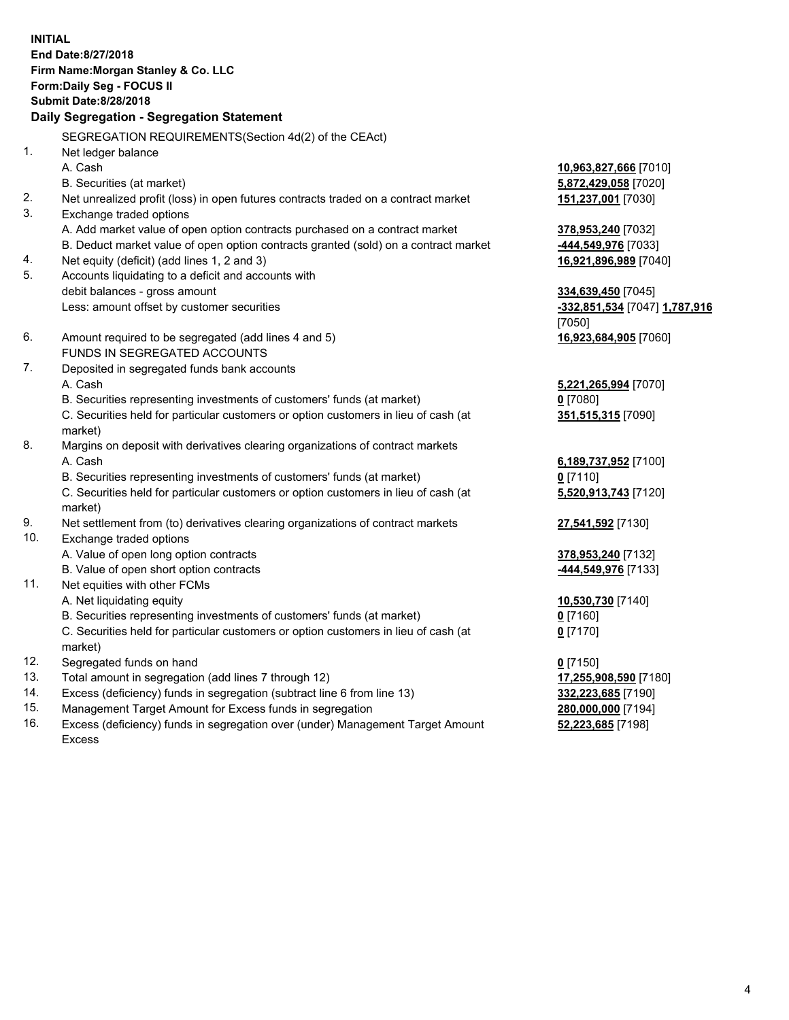**INITIAL End Date:8/27/2018 Firm Name:Morgan Stanley & Co. LLC Form:Daily Seg - FOCUS II Submit Date:8/28/2018 Daily Segregation - Segregation Statement** SEGREGATION REQUIREMENTS(Section 4d(2) of the CEAct) 1. Net ledger balance A. Cash **10,963,827,666** [7010] B. Securities (at market) **5,872,429,058** [7020] 2. Net unrealized profit (loss) in open futures contracts traded on a contract market **151,237,001** [7030] 3. Exchange traded options A. Add market value of open option contracts purchased on a contract market **378,953,240** [7032] B. Deduct market value of open option contracts granted (sold) on a contract market **-444,549,976** [7033] 4. Net equity (deficit) (add lines 1, 2 and 3) **16,921,896,989** [7040] 5. Accounts liquidating to a deficit and accounts with debit balances - gross amount **334,639,450** [7045] Less: amount offset by customer securities **-332,851,534** [7047] **1,787,916** [7050] 6. Amount required to be segregated (add lines 4 and 5) **16,923,684,905** [7060] FUNDS IN SEGREGATED ACCOUNTS 7. Deposited in segregated funds bank accounts A. Cash **5,221,265,994** [7070] B. Securities representing investments of customers' funds (at market) **0** [7080] C. Securities held for particular customers or option customers in lieu of cash (at market) **351,515,315** [7090] 8. Margins on deposit with derivatives clearing organizations of contract markets A. Cash **6,189,737,952** [7100] B. Securities representing investments of customers' funds (at market) **0** [7110] C. Securities held for particular customers or option customers in lieu of cash (at market) **5,520,913,743** [7120] 9. Net settlement from (to) derivatives clearing organizations of contract markets **27,541,592** [7130] 10. Exchange traded options A. Value of open long option contracts **378,953,240** [7132] B. Value of open short option contracts **-444,549,976** [7133] 11. Net equities with other FCMs A. Net liquidating equity **10,530,730** [7140] B. Securities representing investments of customers' funds (at market) **0** [7160] C. Securities held for particular customers or option customers in lieu of cash (at market) **0** [7170] 12. Segregated funds on hand **0** [7150] 13. Total amount in segregation (add lines 7 through 12) **17,255,908,590** [7180] 14. Excess (deficiency) funds in segregation (subtract line 6 from line 13) **332,223,685** [7190]

- 15. Management Target Amount for Excess funds in segregation **280,000,000** [7194]
- 16. Excess (deficiency) funds in segregation over (under) Management Target Amount Excess

**52,223,685** [7198]